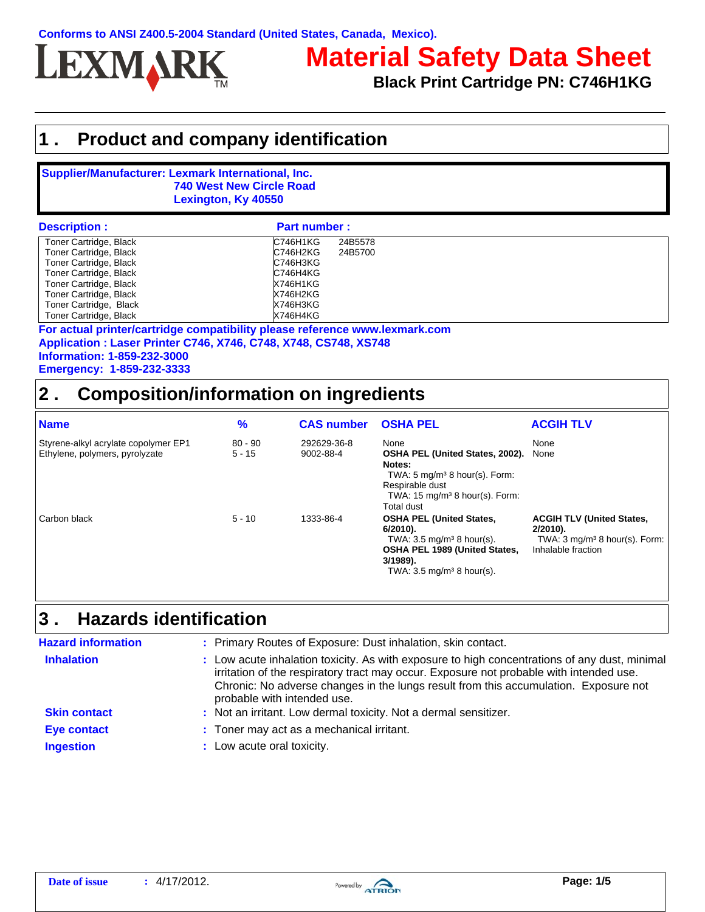

# **Material Safety Data Sheet**

**Black Print Cartridge PN: C746H1KG**

### **1 . Product and company identification**

### **Supplier/Manufacturer: Lexmark International, Inc. 740 West New Circle Road Lexington, Ky 40550**

| <b>Description:</b>    | <b>Part number:</b> |  |
|------------------------|---------------------|--|
| Toner Cartridge, Black | C746H1KG<br>24B5578 |  |
| Toner Cartridge, Black | C746H2KG<br>24B5700 |  |
| Toner Cartridge, Black | C746H3KG            |  |
| Toner Cartridge, Black | C746H4KG            |  |
| Toner Cartridge, Black | <b>X746H1KG</b>     |  |
| Toner Cartridge, Black | X746H2KG            |  |
| Toner Cartridge, Black | X746H3KG            |  |
| Toner Cartridge, Black | X746H4KG            |  |

**Application : Laser Printer C746, X746, C748, X748, CS748, XS748 Information: 1-859-232-3000 Emergency: 1-859-232-3333 For actual printer/cartridge compatibility please reference www.lexmark.com**

## **2 . Composition/information on ingredients**

| <b>Name</b>                                                            | $\%$                  | <b>CAS number</b>        | <b>OSHA PEL</b>                                                                                                                                                                    | <b>ACGIH TLV</b>                                                                                                 |
|------------------------------------------------------------------------|-----------------------|--------------------------|------------------------------------------------------------------------------------------------------------------------------------------------------------------------------------|------------------------------------------------------------------------------------------------------------------|
| Styrene-alkyl acrylate copolymer EP1<br>Ethylene, polymers, pyrolyzate | $80 - 90$<br>$5 - 15$ | 292629-36-8<br>9002-88-4 | None<br>OSHA PEL (United States, 2002).<br>Notes:<br>TWA: $5 \text{ mg/m}^3$ 8 hour(s). Form:<br>Respirable dust<br>TWA: $15 \text{ mg/m}^3$ 8 hour(s). Form:<br><b>Total dust</b> | None<br>None                                                                                                     |
| Carbon black                                                           | $5 - 10$              | 1333-86-4                | <b>OSHA PEL (United States,</b><br>6/2010).<br>TWA: $3.5 \text{ mg/m}^3$ 8 hour(s).<br>OSHA PEL 1989 (United States,<br>3/1989).<br>TWA: $3.5 \text{ mg/m}^3$ 8 hour(s).           | <b>ACGIH TLV (United States,</b><br>$2/2010$ .<br>TWA: $3 \text{ mg/m}^3$ 8 hour(s). Form:<br>Inhalable fraction |

#### **Hazards identification 3 .**

| <b>Hazard information</b> | : Primary Routes of Exposure: Dust inhalation, skin contact.                                                                                                                                                                                                                                                    |
|---------------------------|-----------------------------------------------------------------------------------------------------------------------------------------------------------------------------------------------------------------------------------------------------------------------------------------------------------------|
| <b>Inhalation</b>         | : Low acute inhalation toxicity. As with exposure to high concentrations of any dust, minimal<br>irritation of the respiratory tract may occur. Exposure not probable with intended use.<br>Chronic: No adverse changes in the lungs result from this accumulation. Exposure not<br>probable with intended use. |
| <b>Skin contact</b>       | : Not an irritant. Low dermal toxicity. Not a dermal sensitizer.                                                                                                                                                                                                                                                |
| <b>Eye contact</b>        | : Toner may act as a mechanical irritant.                                                                                                                                                                                                                                                                       |
| <b>Ingestion</b>          | : Low acute oral toxicity.                                                                                                                                                                                                                                                                                      |

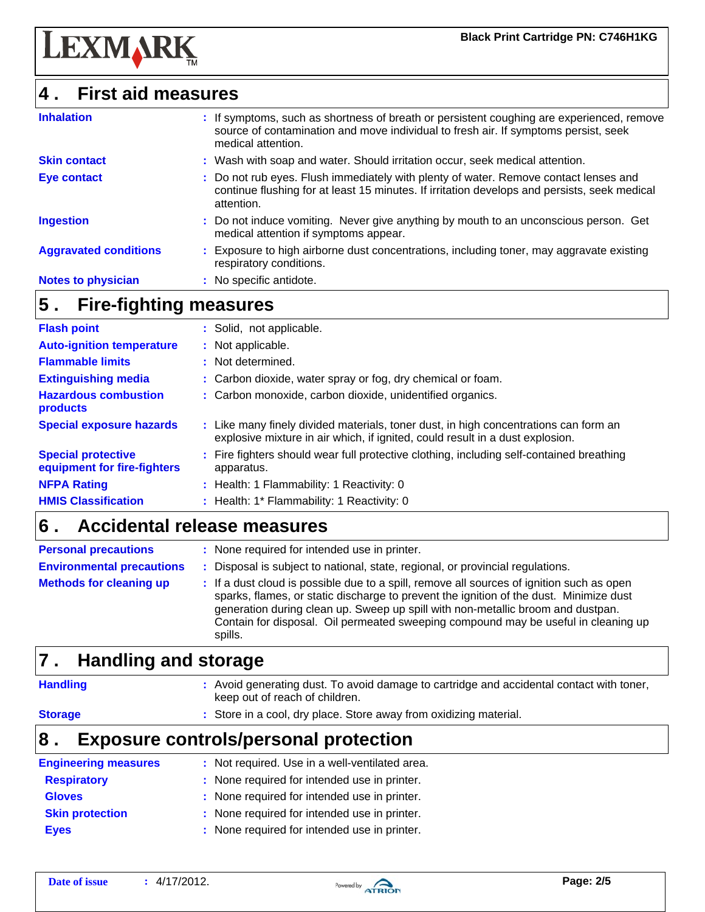

### **4 . First aid measures**

| <b>Inhalation</b>            | : If symptoms, such as shortness of breath or persistent coughing are experienced, remove<br>source of contamination and move individual to fresh air. If symptoms persist, seek<br>medical attention. |
|------------------------------|--------------------------------------------------------------------------------------------------------------------------------------------------------------------------------------------------------|
| <b>Skin contact</b>          | : Wash with soap and water. Should irritation occur, seek medical attention.                                                                                                                           |
| <b>Eye contact</b>           | : Do not rub eyes. Flush immediately with plenty of water. Remove contact lenses and<br>continue flushing for at least 15 minutes. If irritation develops and persists, seek medical<br>attention.     |
| <b>Ingestion</b>             | : Do not induce vomiting. Never give anything by mouth to an unconscious person. Get<br>medical attention if symptoms appear.                                                                          |
| <b>Aggravated conditions</b> | : Exposure to high airborne dust concentrations, including toner, may aggravate existing<br>respiratory conditions.                                                                                    |
| <b>Notes to physician</b>    | : No specific antidote.                                                                                                                                                                                |

#### **Fire-fighting measures 5 .**

| <b>Flash point</b>                                       | : Solid, not applicable.                                                                                                                                              |
|----------------------------------------------------------|-----------------------------------------------------------------------------------------------------------------------------------------------------------------------|
| <b>Auto-ignition temperature</b>                         | : Not applicable.                                                                                                                                                     |
| <b>Flammable limits</b>                                  | : Not determined.                                                                                                                                                     |
| <b>Extinguishing media</b>                               | : Carbon dioxide, water spray or fog, dry chemical or foam.                                                                                                           |
| <b>Hazardous combustion</b><br>products                  | : Carbon monoxide, carbon dioxide, unidentified organics.                                                                                                             |
| <b>Special exposure hazards</b>                          | : Like many finely divided materials, toner dust, in high concentrations can form an<br>explosive mixture in air which, if ignited, could result in a dust explosion. |
| <b>Special protective</b><br>equipment for fire-fighters | : Fire fighters should wear full protective clothing, including self-contained breathing<br>apparatus.                                                                |
| <b>NFPA Rating</b>                                       | : Health: 1 Flammability: 1 Reactivity: 0                                                                                                                             |
| <b>HMIS Classification</b>                               | : Health: 1* Flammability: 1 Reactivity: 0                                                                                                                            |

#### **Accidental release measures 6 .**

| <b>Personal precautions</b>      | : None required for intended use in printer.                                                                                                                                                                                                                                                                                                                            |
|----------------------------------|-------------------------------------------------------------------------------------------------------------------------------------------------------------------------------------------------------------------------------------------------------------------------------------------------------------------------------------------------------------------------|
| <b>Environmental precautions</b> | Disposal is subject to national, state, regional, or provincial regulations.                                                                                                                                                                                                                                                                                            |
| <b>Methods for cleaning up</b>   | : If a dust cloud is possible due to a spill, remove all sources of ignition such as open<br>sparks, flames, or static discharge to prevent the ignition of the dust. Minimize dust<br>generation during clean up. Sweep up spill with non-metallic broom and dustpan.<br>Contain for disposal. Oil permeated sweeping compound may be useful in cleaning up<br>spills. |

**:** Store in a cool, dry place. Store away from oxidizing material.

#### **Handling and storage 7 .**

**Handling**

**:** Avoid generating dust. To avoid damage to cartridge and accidental contact with toner, keep out of reach of children.

### **Storage**

### **8 . Exposure controls/personal protection**

| <b>Engineering measures</b> | : Not required. Use in a well-ventilated area. |
|-----------------------------|------------------------------------------------|
| <b>Respiratory</b>          | : None required for intended use in printer.   |
| <b>Gloves</b>               | : None required for intended use in printer.   |
| <b>Skin protection</b>      | : None required for intended use in printer.   |
| <b>Eyes</b>                 | : None required for intended use in printer.   |

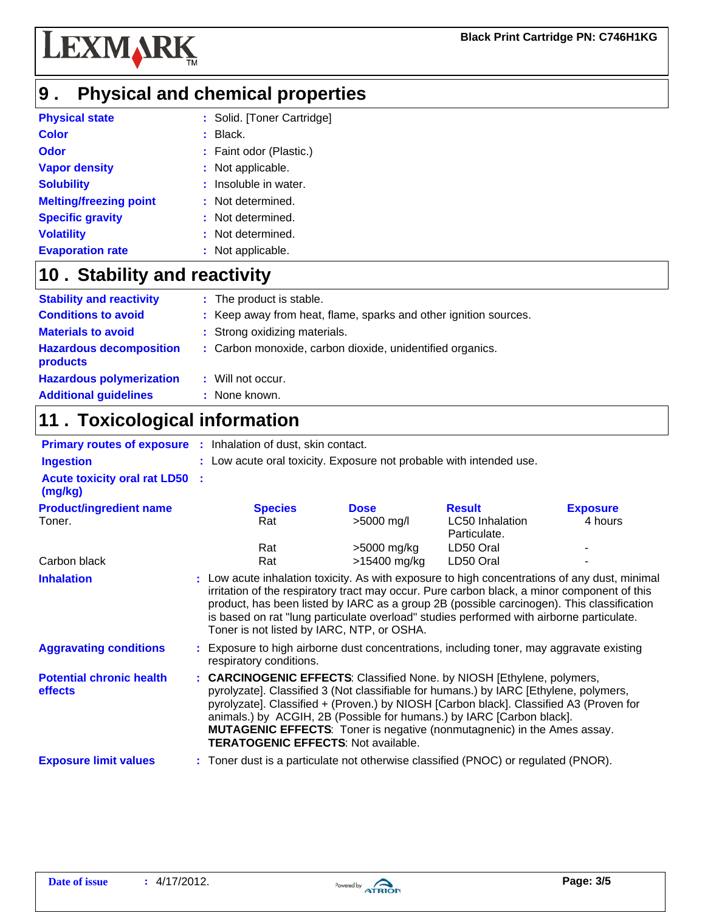

### **Physical and chemical properties 9 .**

| <b>Physical state</b>         | : Solid. [Toner Cartridge] |
|-------------------------------|----------------------------|
| <b>Color</b>                  | $:$ Black.                 |
| <b>Odor</b>                   | : Faint odor (Plastic.)    |
| <b>Vapor density</b>          | : Not applicable.          |
| <b>Solubility</b>             | : Insoluble in water.      |
| <b>Melting/freezing point</b> | : Not determined.          |
| <b>Specific gravity</b>       | : Not determined.          |
| <b>Volatility</b>             | : Not determined.          |
| <b>Evaporation rate</b>       | : Not applicable.          |
|                               |                            |

### 10 . Stability and reactivity

| <b>Stability and reactivity</b>            | : The product is stable.                                         |
|--------------------------------------------|------------------------------------------------------------------|
| <b>Conditions to avoid</b>                 | : Keep away from heat, flame, sparks and other ignition sources. |
| <b>Materials to avoid</b>                  | : Strong oxidizing materials.                                    |
| <b>Hazardous decomposition</b><br>products | : Carbon monoxide, carbon dioxide, unidentified organics.        |
| <b>Hazardous polymerization</b>            | : Will not occur.                                                |
| <b>Additional guidelines</b>               | : None known.                                                    |

# **11 . Toxicological information**

| <b>Primary routes of exposure :</b> Inhalation of dust, skin contact. |                                                                                                                                                                                                                                                                                                                                                                                                                                                                    |              |                                 |                 |
|-----------------------------------------------------------------------|--------------------------------------------------------------------------------------------------------------------------------------------------------------------------------------------------------------------------------------------------------------------------------------------------------------------------------------------------------------------------------------------------------------------------------------------------------------------|--------------|---------------------------------|-----------------|
| <b>Ingestion</b>                                                      | : Low acute oral toxicity. Exposure not probable with intended use.                                                                                                                                                                                                                                                                                                                                                                                                |              |                                 |                 |
| <b>Acute toxicity oral rat LD50 :</b><br>(mg/kg)                      |                                                                                                                                                                                                                                                                                                                                                                                                                                                                    |              |                                 |                 |
| <b>Product/ingredient name</b>                                        | <b>Species</b>                                                                                                                                                                                                                                                                                                                                                                                                                                                     | <b>Dose</b>  | <b>Result</b>                   | <b>Exposure</b> |
| Toner.                                                                | Rat                                                                                                                                                                                                                                                                                                                                                                                                                                                                | >5000 mg/l   | LC50 Inhalation<br>Particulate. | 4 hours         |
|                                                                       | Rat                                                                                                                                                                                                                                                                                                                                                                                                                                                                | >5000 mg/kg  | LD50 Oral                       |                 |
| Carbon black                                                          | Rat                                                                                                                                                                                                                                                                                                                                                                                                                                                                | >15400 mg/kg | LD50 Oral                       |                 |
| <b>Inhalation</b>                                                     | : Low acute inhalation toxicity. As with exposure to high concentrations of any dust, minimal<br>irritation of the respiratory tract may occur. Pure carbon black, a minor component of this<br>product, has been listed by IARC as a group 2B (possible carcinogen). This classification<br>is based on rat "lung particulate overload" studies performed with airborne particulate.<br>Toner is not listed by IARC, NTP, or OSHA.                                |              |                                 |                 |
| <b>Aggravating conditions</b>                                         | : Exposure to high airborne dust concentrations, including toner, may aggravate existing<br>respiratory conditions.                                                                                                                                                                                                                                                                                                                                                |              |                                 |                 |
| <b>Potential chronic health</b><br>effects                            | : CARCINOGENIC EFFECTS: Classified None. by NIOSH [Ethylene, polymers,<br>pyrolyzate]. Classified 3 (Not classifiable for humans.) by IARC [Ethylene, polymers,<br>pyrolyzate]. Classified + (Proven.) by NIOSH [Carbon black]. Classified A3 (Proven for<br>animals.) by ACGIH, 2B (Possible for humans.) by IARC [Carbon black].<br><b>MUTAGENIC EFFECTS:</b> Toner is negative (nonmutagnenic) in the Ames assay.<br><b>TERATOGENIC EFFECTS: Not available.</b> |              |                                 |                 |
| <b>Exposure limit values</b>                                          | : Toner dust is a particulate not otherwise classified (PNOC) or regulated (PNOR).                                                                                                                                                                                                                                                                                                                                                                                 |              |                                 |                 |

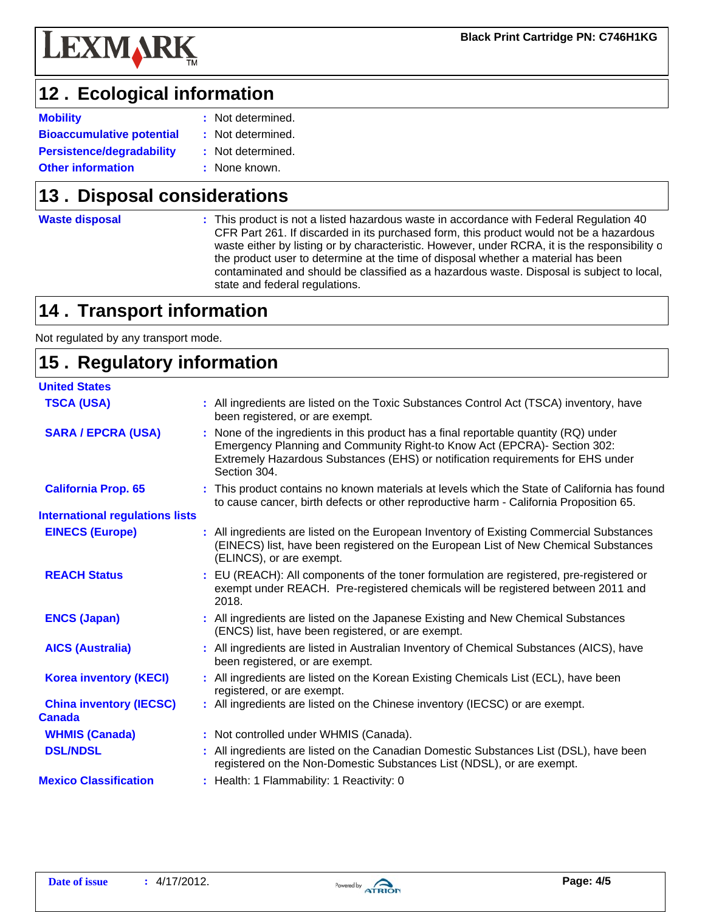

# 12. Ecological information

- **Mobility CONSIDERENT RESOCIETY CONSIDERED ASSESSMENT RESOCIETY NOTE CONSIDERED ASSESSMENT RESOCIETY CONSIDERED ASSESSMENT RESOCIETY CONSIDERED ASSESSMENT RESOCIETY CONSIDERED ASSESSMENT RESOCIETY CONSIDERE**
- **Persistence/degradability Other information Bioaccumulative potential :** Not determined.
	- Not determined. **:**
	- : None known.

## **13. Disposal considerations**

**Waste disposal**

**:** This product is not a listed hazardous waste in accordance with Federal Regulation 40 CFR Part 261. If discarded in its purchased form, this product would not be a hazardous waste either by listing or by characteristic. However, under RCRA, it is the responsibility of the product user to determine at the time of disposal whether a material has been contaminated and should be classified as a hazardous waste. Disposal is subject to local, state and federal regulations.

# **14 . Transport information**

Not regulated by any transport mode.

### **Regulatory information 15 . Canada United States TSCA (USA)** : All ingredients are listed on the Toxic Substances Control Act (TSCA) inventory, have been registered, or are exempt. **WHMIS (Canada) :** Not controlled under WHMIS (Canada). **SARA / EPCRA (USA)** : None of the ingredients in this product has a final reportable quantity (RQ) under Emergency Planning and Community Right-to Know Act (EPCRA)- Section 302: Extremely Hazardous Substances (EHS) or notification requirements for EHS under Section 304. **California Prop. 65** : This product contains no known materials at levels which the State of California has found to cause cancer, birth defects or other reproductive harm - California Proposition 65. **EINECS (Europe) :** All ingredients are listed on the European Inventory of Existing Commercial Substances (EINECS) list, have been registered on the European List of New Chemical Substances (ELINCS), or are exempt. **ENCS (Japan) :** All ingredients are listed on the Japanese Existing and New Chemical Substances (ENCS) list, have been registered, or are exempt. **AICS (Australia) :** All ingredients are listed in Australian Inventory of Chemical Substances (AICS), have been registered, or are exempt. **International regulations lists DSL/NDSL** : All ingredients are listed on the Canadian Domestic Substances List (DSL), have been registered on the Non-Domestic Substances List (NDSL), or are exempt. **Mexico Classification :** Health: 1 Flammability: 1 Reactivity: 0 **Korea inventory (KECI) :** All ingredients are listed on the Korean Existing Chemicals List (ECL), have been registered, or are exempt. **China inventory (IECSC)** : All ingredients are listed on the Chinese inventory (IECSC) or are exempt. **REACH Status : EU (REACH): All components of the toner formulation are registered, pre-registered or** exempt under REACH. Pre-registered chemicals will be registered between 2011 and 2018.